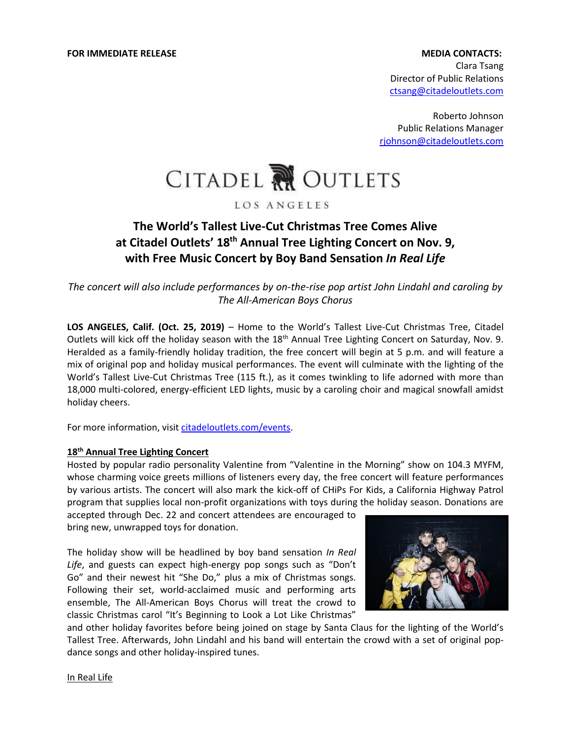# Clara Tsang Director of Public Relations [ctsang@citadeloutlets.com](mailto:ctsang@citadeloutlets.com)

Roberto Johnson Public Relations Manager [rjohnson@citadeloutlets.com](mailto:rjohnson@citadeloutlets.com)



### LOS ANGELES

## **The World's Tallest Live-Cut Christmas Tree Comes Alive at Citadel Outlets' 18th Annual Tree Lighting Concert on Nov. 9, with Free Music Concert by Boy Band Sensation** *In Real Life*

*The concert will also include performances by on-the-rise pop artist John Lindahl and caroling by The All-American Boys Chorus*

**LOS ANGELES, Calif. (Oct. 25, 2019)** – Home to the World's Tallest Live-Cut Christmas Tree, Citadel Outlets will kick off the holiday season with the 18<sup>th</sup> Annual Tree Lighting Concert on Saturday, Nov. 9. Heralded as a family-friendly holiday tradition, the free concert will begin at 5 p.m. and will feature a mix of original pop and holiday musical performances. The event will culminate with the lighting of the World's Tallest Live-Cut Christmas Tree (115 ft.), as it comes twinkling to life adorned with more than 18,000 multi-colored, energy-efficient LED lights, music by a caroling choir and magical snowfall amidst holiday cheers.

For more information, visi[t citadeloutlets.com/events.](https://www.citadeloutlets.com/event/Tree-Lighting-Concert/2145532085/https:/whttps:/www.citadeloutlets.com/event/Tree-Lighting-Concert/2145532085/https:/www.citadeloutlets.com/event/Tree-Lighww.citadeloutlets.com/event/Tree-Lighting-Concert/2145532085/)

#### **18th Annual Tree Lighting Concert**

Hosted by popular radio personality Valentine from "Valentine in the Morning" show on 104.3 MYFM, whose charming voice greets millions of listeners every day, the free concert will feature performances by various artists. The concert will also mark the kick-off of CHiPs For Kids, a California Highway Patrol program that supplies local non-profit organizations with toys during the holiday season. Donations are

accepted through Dec. 22 and concert attendees are encouraged to bring new, unwrapped toys for donation.

The holiday show will be headlined by boy band sensation *In Real Life*, and guests can expect high-energy pop songs such as "Don't Go" and their newest hit "She Do," plus a mix of Christmas songs. Following their set, world-acclaimed music and performing arts ensemble, The All-American Boys Chorus will treat the crowd to classic Christmas carol "It's Beginning to Look a Lot Like Christmas"



and other holiday favorites before being joined on stage by Santa Claus for the lighting of the World's Tallest Tree. Afterwards, John Lindahl and his band will entertain the crowd with a set of original popdance songs and other holiday-inspired tunes.

In Real Life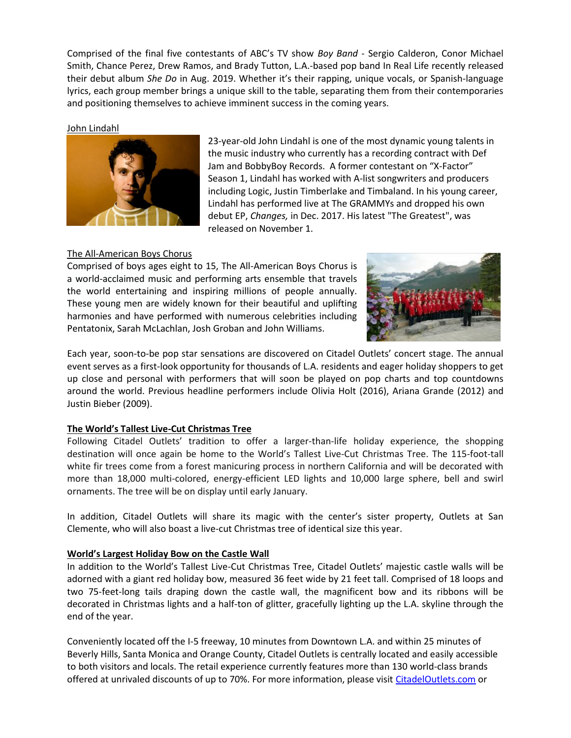Comprised of the final five contestants of ABC's TV show *Boy Band* - Sergio Calderon, Conor Michael Smith, Chance Perez, Drew Ramos, and Brady Tutton, L.A.-based pop band In Real Life recently released their debut album *She Do* in Aug. 2019. Whether it's their rapping, unique vocals, or Spanish-language lyrics, each group member brings a unique skill to the table, separating them from their contemporaries and positioning themselves to achieve imminent success in the coming years.

John Lindahl



23-year-old John Lindahl is one of the most dynamic young talents in the music industry who currently has a recording contract with Def Jam and BobbyBoy Records. A former contestant on "X-Factor" Season 1, Lindahl has worked with A-list songwriters and producers including Logic, Justin Timberlake and Timbaland. In his young career, Lindahl has performed live at The GRAMMYs and dropped his own debut EP, *Changes,* in Dec. 2017. His latest "The Greatest", was released on November 1.

## The All-American Boys Chorus

Comprised of boys ages eight to 15, The All-American Boys Chorus is a world-acclaimed music and performing arts ensemble that travels the world entertaining and inspiring millions of people annually. These young men are widely known for their beautiful and uplifting harmonies and have performed with numerous celebrities including Pentatonix, Sarah McLachlan, Josh Groban and John Williams.



Each year, soon-to-be pop star sensations are discovered on Citadel Outlets' concert stage. The annual event serves as a first-look opportunity for thousands of L.A. residents and eager holiday shoppers to get up close and personal with performers that will soon be played on pop charts and top countdowns around the world. Previous headline performers include Olivia Holt (2016), Ariana Grande (2012) and Justin Bieber (2009).

### **The World's Tallest Live-Cut Christmas Tree**

Following Citadel Outlets' tradition to offer a larger-than-life holiday experience, the shopping destination will once again be home to the World's Tallest Live-Cut Christmas Tree. The 115-foot-tall white fir trees come from a forest manicuring process in northern California and will be decorated with more than 18,000 multi-colored, energy-efficient LED lights and 10,000 large sphere, bell and swirl ornaments. The tree will be on display until early January.

In addition, Citadel Outlets will share its magic with the center's sister property, Outlets at San Clemente, who will also boast a live-cut Christmas tree of identical size this year.

### **World's Largest Holiday Bow on the Castle Wall**

In addition to the World's Tallest Live-Cut Christmas Tree, Citadel Outlets' majestic castle walls will be adorned with a giant red holiday bow, measured 36 feet wide by 21 feet tall. Comprised of 18 loops and two 75-feet-long tails draping down the castle wall, the magnificent bow and its ribbons will be decorated in Christmas lights and a half-ton of glitter, gracefully lighting up the L.A. skyline through the end of the year.

Conveniently located off the I-5 freeway, 10 minutes from Downtown L.A. and within 25 minutes of Beverly Hills, Santa Monica and Orange County, Citadel Outlets is centrally located and easily accessible to both visitors and locals. The retail experience currently features more than 130 world-class brands offered at unrivaled discounts of up to 70%. For more information, please visit [CitadelOutlets.com](https://www.citadeloutlets.com/) or